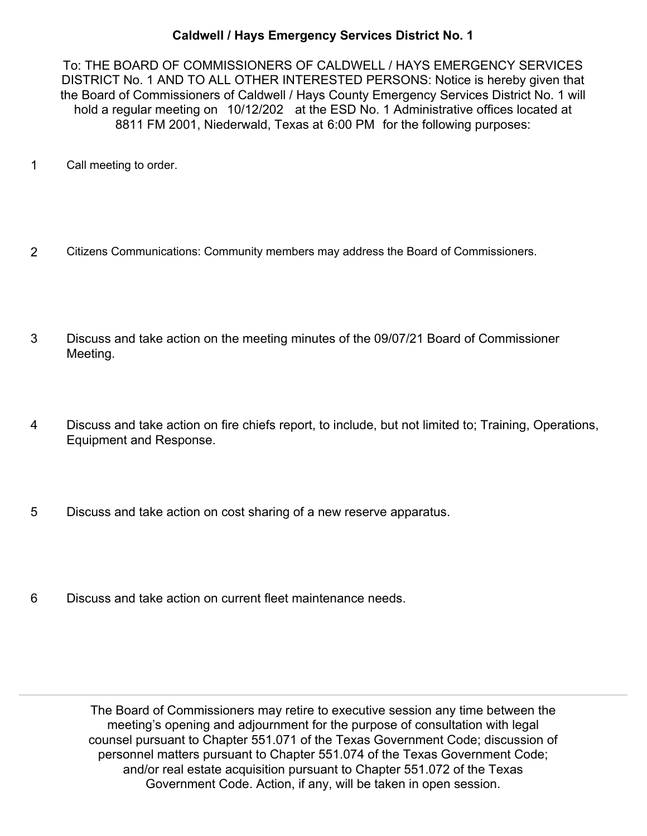## **Caldwell / Hays Emergency Services District No. 1**

To: THE BOARD OF COMMISSIONERS OF CALDWELL / HAYS EMERGENCY SERVICES DISTRICT No. 1 AND TO ALL OTHER INTERESTED PERSONS: Notice is hereby given that the Board of Commissioners of Caldwell / Hays County Emergency Services District No. 1 will hold a regular meeting on 10/12/202 at the ESD No. 1 Administrative offices located at 8811 FM 2001, Niederwald, Texas at 6:00 PM for the following purposes:

- 1 Call meeting to order.
- 2 Citizens Communications: Community members may address the Board of Commissioners.
- Discuss and take action on the meeting minutes of the 09/07/21 Board of Commissioner Meeting. 3
- Discuss and take action on fire chiefs report, to include, but not limited to; Training, Operations, Equipment and Response. 4
- 5 Discuss and take action on cost sharing of a new reserve apparatus.
- 6 Discuss and take action on current fleet maintenance needs.

The Board of Commissioners may retire to executive session any time between the meeting's opening and adjournment for the purpose of consultation with legal counsel pursuant to Chapter 551.071 of the Texas Government Code; discussion of personnel matters pursuant to Chapter 551.074 of the Texas Government Code; and/or real estate acquisition pursuant to Chapter 551.072 of the Texas Government Code. Action, if any, will be taken in open session.